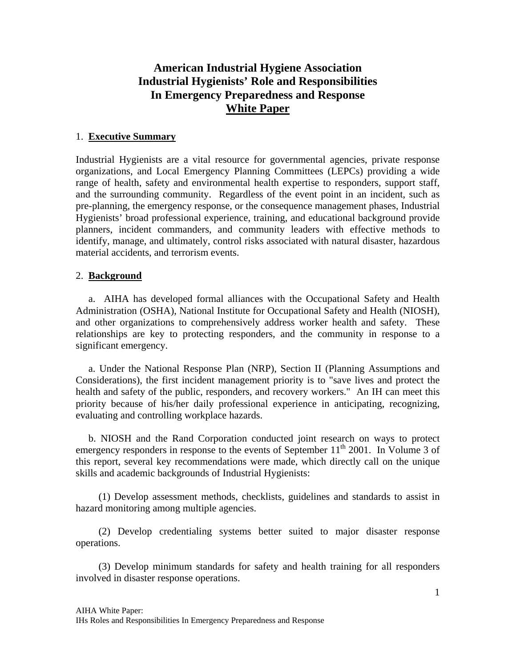# **American Industrial Hygiene Association Industrial Hygienists' Role and Responsibilities In Emergency Preparedness and Response White Paper**

## 1. **Executive Summary**

Industrial Hygienists are a vital resource for governmental agencies, private response organizations, and Local Emergency Planning Committees (LEPCs) providing a wide range of health, safety and environmental health expertise to responders, support staff, and the surrounding community. Regardless of the event point in an incident, such as pre-planning, the emergency response, or the consequence management phases, Industrial Hygienists' broad professional experience, training, and educational background provide planners, incident commanders, and community leaders with effective methods to identify, manage, and ultimately, control risks associated with natural disaster, hazardous material accidents, and terrorism events.

## 2. **Background**

 a. AIHA has developed formal alliances with the Occupational Safety and Health Administration (OSHA), National Institute for Occupational Safety and Health (NIOSH), and other organizations to comprehensively address worker health and safety. These relationships are key to protecting responders, and the community in response to a significant emergency.

 a. Under the National Response Plan (NRP), Section II (Planning Assumptions and Considerations), the first incident management priority is to "save lives and protect the health and safety of the public, responders, and recovery workers." An IH can meet this priority because of his/her daily professional experience in anticipating, recognizing, evaluating and controlling workplace hazards.

 b. NIOSH and the Rand Corporation conducted joint research on ways to protect emergency responders in response to the events of September  $11<sup>th</sup>$  2001. In Volume 3 of this report, several key recommendations were made, which directly call on the unique skills and academic backgrounds of Industrial Hygienists:

 (1) Develop assessment methods, checklists, guidelines and standards to assist in hazard monitoring among multiple agencies.

 (2) Develop credentialing systems better suited to major disaster response operations.

 (3) Develop minimum standards for safety and health training for all responders involved in disaster response operations.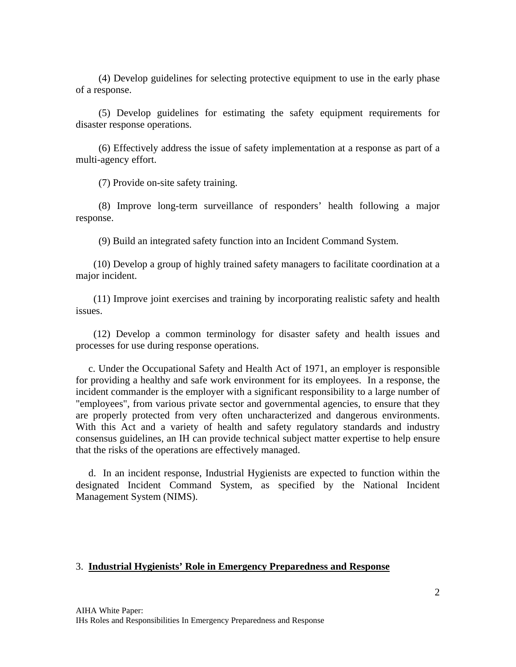(4) Develop guidelines for selecting protective equipment to use in the early phase of a response.

 (5) Develop guidelines for estimating the safety equipment requirements for disaster response operations.

 (6) Effectively address the issue of safety implementation at a response as part of a multi-agency effort.

(7) Provide on-site safety training.

 (8) Improve long-term surveillance of responders' health following a major response.

(9) Build an integrated safety function into an Incident Command System.

 (10) Develop a group of highly trained safety managers to facilitate coordination at a major incident.

 (11) Improve joint exercises and training by incorporating realistic safety and health issues.

 (12) Develop a common terminology for disaster safety and health issues and processes for use during response operations.

 c. Under the Occupational Safety and Health Act of 1971, an employer is responsible for providing a healthy and safe work environment for its employees. In a response, the incident commander is the employer with a significant responsibility to a large number of "employees", from various private sector and governmental agencies, to ensure that they are properly protected from very often uncharacterized and dangerous environments. With this Act and a variety of health and safety regulatory standards and industry consensus guidelines, an IH can provide technical subject matter expertise to help ensure that the risks of the operations are effectively managed.

 d. In an incident response, Industrial Hygienists are expected to function within the designated Incident Command System, as specified by the National Incident Management System (NIMS).

#### 3. **Industrial Hygienists' Role in Emergency Preparedness and Response**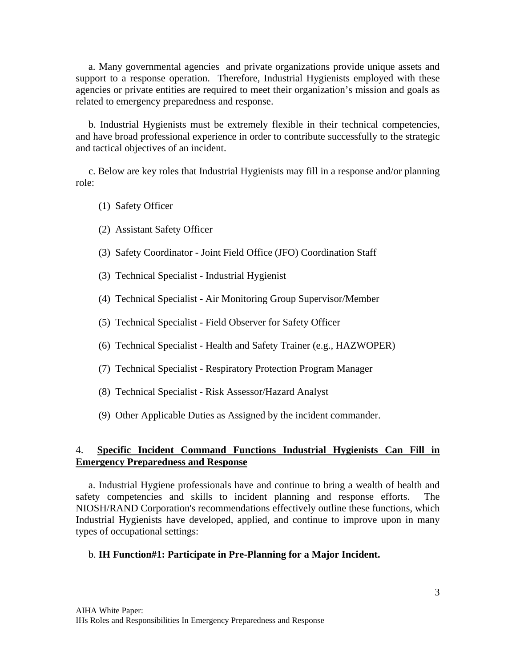a. Many governmental agencies and private organizations provide unique assets and support to a response operation. Therefore, Industrial Hygienists employed with these agencies or private entities are required to meet their organization's mission and goals as related to emergency preparedness and response.

 b. Industrial Hygienists must be extremely flexible in their technical competencies, and have broad professional experience in order to contribute successfully to the strategic and tactical objectives of an incident.

 c. Below are key roles that Industrial Hygienists may fill in a response and/or planning role:

- (1) Safety Officer
- (2) Assistant Safety Officer
- (3) Safety Coordinator Joint Field Office (JFO) Coordination Staff
- (3) Technical Specialist Industrial Hygienist
- (4) Technical Specialist Air Monitoring Group Supervisor/Member
- (5) Technical Specialist Field Observer for Safety Officer
- (6) Technical Specialist Health and Safety Trainer (e.g., HAZWOPER)
- (7) Technical Specialist Respiratory Protection Program Manager
- (8) Technical Specialist Risk Assessor/Hazard Analyst
- (9) Other Applicable Duties as Assigned by the incident commander.

## 4. **Specific Incident Command Functions Industrial Hygienists Can Fill in Emergency Preparedness and Response**

 a. Industrial Hygiene professionals have and continue to bring a wealth of health and safety competencies and skills to incident planning and response efforts. The NIOSH/RAND Corporation's recommendations effectively outline these functions, which Industrial Hygienists have developed, applied, and continue to improve upon in many types of occupational settings:

#### b. **IH Function#1: Participate in Pre-Planning for a Major Incident.**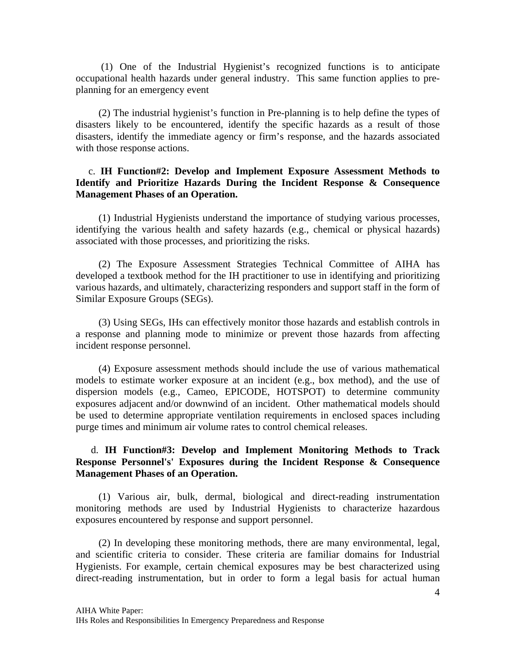(1) One of the Industrial Hygienist's recognized functions is to anticipate occupational health hazards under general industry. This same function applies to preplanning for an emergency event

 (2) The industrial hygienist's function in Pre-planning is to help define the types of disasters likely to be encountered, identify the specific hazards as a result of those disasters, identify the immediate agency or firm's response, and the hazards associated with those response actions.

## c. **IH Function#2: Develop and Implement Exposure Assessment Methods to Identify and Prioritize Hazards During the Incident Response & Consequence Management Phases of an Operation.**

 (1) Industrial Hygienists understand the importance of studying various processes, identifying the various health and safety hazards (e.g., chemical or physical hazards) associated with those processes, and prioritizing the risks.

 (2) The Exposure Assessment Strategies Technical Committee of AIHA has developed a textbook method for the IH practitioner to use in identifying and prioritizing various hazards, and ultimately, characterizing responders and support staff in the form of Similar Exposure Groups (SEGs).

 (3) Using SEGs, IHs can effectively monitor those hazards and establish controls in a response and planning mode to minimize or prevent those hazards from affecting incident response personnel.

 (4) Exposure assessment methods should include the use of various mathematical models to estimate worker exposure at an incident (e.g., box method), and the use of dispersion models (e.g., Cameo, EPICODE, HOTSPOT) to determine community exposures adjacent and/or downwind of an incident. Other mathematical models should be used to determine appropriate ventilation requirements in enclosed spaces including purge times and minimum air volume rates to control chemical releases.

## d. **IH Function#3: Develop and Implement Monitoring Methods to Track Response Personnel's' Exposures during the Incident Response & Consequence Management Phases of an Operation.**

 (1) Various air, bulk, dermal, biological and direct-reading instrumentation monitoring methods are used by Industrial Hygienists to characterize hazardous exposures encountered by response and support personnel.

 (2) In developing these monitoring methods, there are many environmental, legal, and scientific criteria to consider. These criteria are familiar domains for Industrial Hygienists. For example, certain chemical exposures may be best characterized using direct-reading instrumentation, but in order to form a legal basis for actual human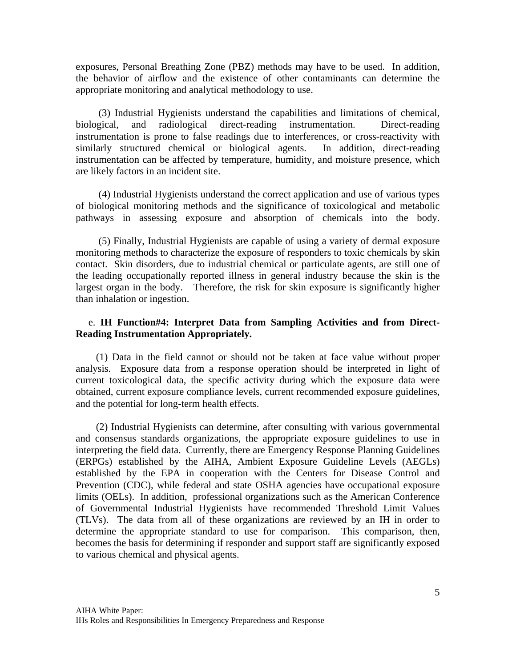exposures, Personal Breathing Zone (PBZ) methods may have to be used. In addition, the behavior of airflow and the existence of other contaminants can determine the appropriate monitoring and analytical methodology to use.

 (3) Industrial Hygienists understand the capabilities and limitations of chemical, biological, and radiological direct-reading instrumentation. Direct-reading instrumentation is prone to false readings due to interferences, or cross-reactivity with similarly structured chemical or biological agents. In addition, direct-reading instrumentation can be affected by temperature, humidity, and moisture presence, which are likely factors in an incident site.

 (4) Industrial Hygienists understand the correct application and use of various types of biological monitoring methods and the significance of toxicological and metabolic pathways in assessing exposure and absorption of chemicals into the body.

 (5) Finally, Industrial Hygienists are capable of using a variety of dermal exposure monitoring methods to characterize the exposure of responders to toxic chemicals by skin contact. Skin disorders, due to industrial chemical or particulate agents, are still one of the leading occupationally reported illness in general industry because the skin is the largest organ in the body. Therefore, the risk for skin exposure is significantly higher than inhalation or ingestion.

### e. **IH Function#4: Interpret Data from Sampling Activities and from Direct-Reading Instrumentation Appropriately.**

 (1) Data in the field cannot or should not be taken at face value without proper analysis. Exposure data from a response operation should be interpreted in light of current toxicological data, the specific activity during which the exposure data were obtained, current exposure compliance levels, current recommended exposure guidelines, and the potential for long-term health effects.

 (2) Industrial Hygienists can determine, after consulting with various governmental and consensus standards organizations, the appropriate exposure guidelines to use in interpreting the field data. Currently, there are Emergency Response Planning Guidelines (ERPGs) established by the AIHA, Ambient Exposure Guideline Levels (AEGLs) established by the EPA in cooperation with the Centers for Disease Control and Prevention (CDC), while federal and state OSHA agencies have occupational exposure limits (OELs). In addition, professional organizations such as the American Conference of Governmental Industrial Hygienists have recommended Threshold Limit Values (TLVs). The data from all of these organizations are reviewed by an IH in order to determine the appropriate standard to use for comparison. This comparison, then, becomes the basis for determining if responder and support staff are significantly exposed to various chemical and physical agents.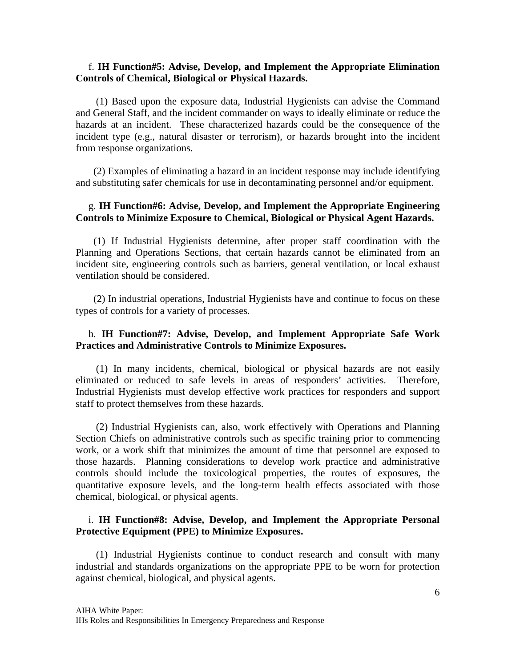### f. **IH Function#5: Advise, Develop, and Implement the Appropriate Elimination Controls of Chemical, Biological or Physical Hazards.**

(1) Based upon the exposure data, Industrial Hygienists can advise the Command and General Staff, and the incident commander on ways to ideally eliminate or reduce the hazards at an incident. These characterized hazards could be the consequence of the incident type (e.g., natural disaster or terrorism), or hazards brought into the incident from response organizations.

 (2) Examples of eliminating a hazard in an incident response may include identifying and substituting safer chemicals for use in decontaminating personnel and/or equipment.

### g. **IH Function#6: Advise, Develop, and Implement the Appropriate Engineering Controls to Minimize Exposure to Chemical, Biological or Physical Agent Hazards.**

 (1) If Industrial Hygienists determine, after proper staff coordination with the Planning and Operations Sections, that certain hazards cannot be eliminated from an incident site, engineering controls such as barriers, general ventilation, or local exhaust ventilation should be considered.

 (2) In industrial operations, Industrial Hygienists have and continue to focus on these types of controls for a variety of processes.

## h. **IH Function#7: Advise, Develop, and Implement Appropriate Safe Work Practices and Administrative Controls to Minimize Exposures.**

(1) In many incidents, chemical, biological or physical hazards are not easily eliminated or reduced to safe levels in areas of responders' activities. Therefore, Industrial Hygienists must develop effective work practices for responders and support staff to protect themselves from these hazards.

 (2) Industrial Hygienists can, also, work effectively with Operations and Planning Section Chiefs on administrative controls such as specific training prior to commencing work, or a work shift that minimizes the amount of time that personnel are exposed to those hazards. Planning considerations to develop work practice and administrative controls should include the toxicological properties, the routes of exposures, the quantitative exposure levels, and the long-term health effects associated with those chemical, biological, or physical agents.

## i. **IH Function#8: Advise, Develop, and Implement the Appropriate Personal Protective Equipment (PPE) to Minimize Exposures.**

 (1) Industrial Hygienists continue to conduct research and consult with many industrial and standards organizations on the appropriate PPE to be worn for protection against chemical, biological, and physical agents.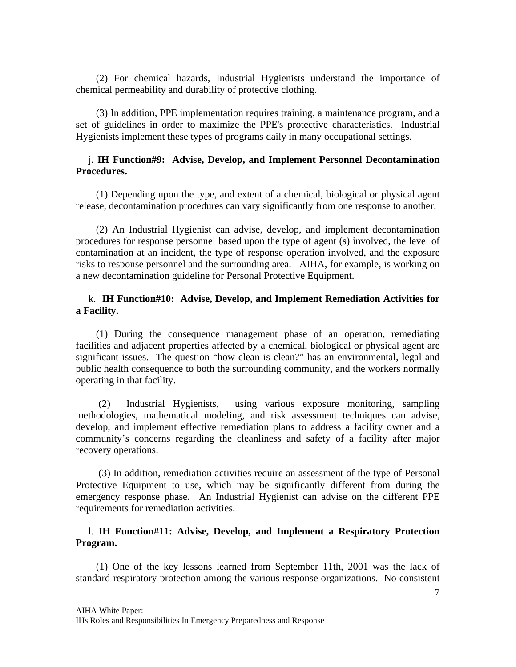(2) For chemical hazards, Industrial Hygienists understand the importance of chemical permeability and durability of protective clothing.

 (3) In addition, PPE implementation requires training, a maintenance program, and a set of guidelines in order to maximize the PPE's protective characteristics. Industrial Hygienists implement these types of programs daily in many occupational settings.

### j. **IH Function#9: Advise, Develop, and Implement Personnel Decontamination Procedures.**

 (1) Depending upon the type, and extent of a chemical, biological or physical agent release, decontamination procedures can vary significantly from one response to another.

 (2) An Industrial Hygienist can advise, develop, and implement decontamination procedures for response personnel based upon the type of agent (s) involved, the level of contamination at an incident, the type of response operation involved, and the exposure risks to response personnel and the surrounding area. AIHA, for example, is working on a new decontamination guideline for Personal Protective Equipment.

### k. **IH Function#10: Advise, Develop, and Implement Remediation Activities for a Facility.**

 (1) During the consequence management phase of an operation, remediating facilities and adjacent properties affected by a chemical, biological or physical agent are significant issues. The question "how clean is clean?" has an environmental, legal and public health consequence to both the surrounding community, and the workers normally operating in that facility.

 (2) Industrial Hygienists, using various exposure monitoring, sampling methodologies, mathematical modeling, and risk assessment techniques can advise, develop, and implement effective remediation plans to address a facility owner and a community's concerns regarding the cleanliness and safety of a facility after major recovery operations.

 (3) In addition, remediation activities require an assessment of the type of Personal Protective Equipment to use, which may be significantly different from during the emergency response phase. An Industrial Hygienist can advise on the different PPE requirements for remediation activities.

### l. **IH Function#11: Advise, Develop, and Implement a Respiratory Protection Program.**

 (1) One of the key lessons learned from September 11th, 2001 was the lack of standard respiratory protection among the various response organizations. No consistent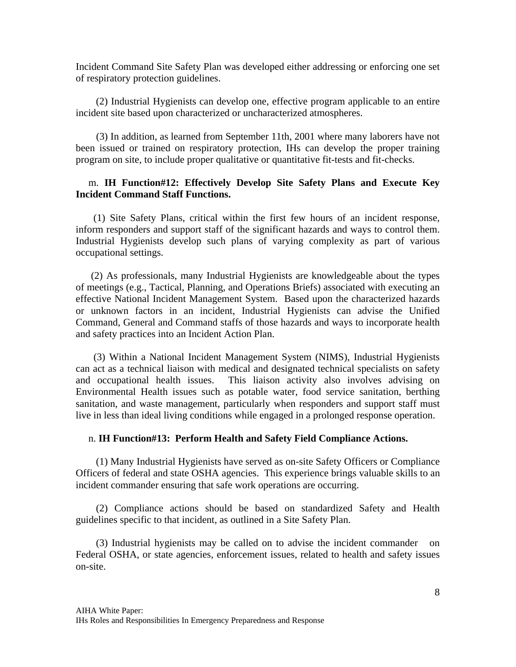Incident Command Site Safety Plan was developed either addressing or enforcing one set of respiratory protection guidelines.

 (2) Industrial Hygienists can develop one, effective program applicable to an entire incident site based upon characterized or uncharacterized atmospheres.

 (3) In addition, as learned from September 11th, 2001 where many laborers have not been issued or trained on respiratory protection, IHs can develop the proper training program on site, to include proper qualitative or quantitative fit-tests and fit-checks.

## m. **IH Function#12: Effectively Develop Site Safety Plans and Execute Key Incident Command Staff Functions.**

 (1) Site Safety Plans, critical within the first few hours of an incident response, inform responders and support staff of the significant hazards and ways to control them. Industrial Hygienists develop such plans of varying complexity as part of various occupational settings.

 (2) As professionals, many Industrial Hygienists are knowledgeable about the types of meetings (e.g., Tactical, Planning, and Operations Briefs) associated with executing an effective National Incident Management System. Based upon the characterized hazards or unknown factors in an incident, Industrial Hygienists can advise the Unified Command, General and Command staffs of those hazards and ways to incorporate health and safety practices into an Incident Action Plan.

 (3) Within a National Incident Management System (NIMS), Industrial Hygienists can act as a technical liaison with medical and designated technical specialists on safety and occupational health issues. This liaison activity also involves advising on Environmental Health issues such as potable water, food service sanitation, berthing sanitation, and waste management, particularly when responders and support staff must live in less than ideal living conditions while engaged in a prolonged response operation.

#### n. **IH Function#13: Perform Health and Safety Field Compliance Actions.**

(1) Many Industrial Hygienists have served as on-site Safety Officers or Compliance Officers of federal and state OSHA agencies. This experience brings valuable skills to an incident commander ensuring that safe work operations are occurring.

 (2) Compliance actions should be based on standardized Safety and Health guidelines specific to that incident, as outlined in a Site Safety Plan.

 (3) Industrial hygienists may be called on to advise the incident commander on Federal OSHA, or state agencies, enforcement issues, related to health and safety issues on-site.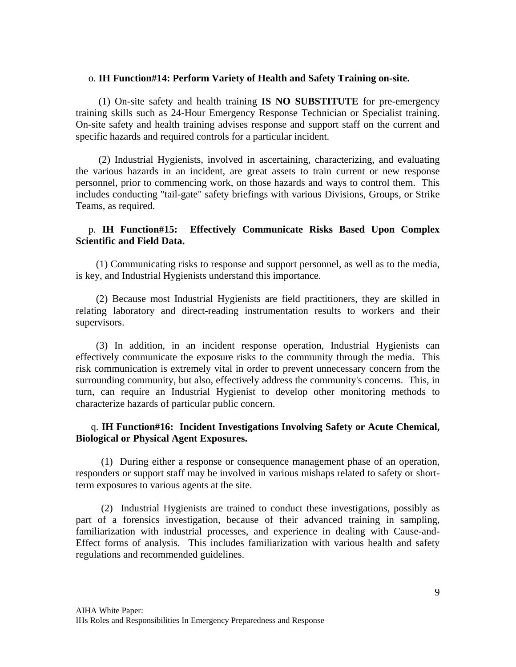#### o. **IH Function#14: Perform Variety of Health and Safety Training on-site.**

(1) On-site safety and health training **IS NO SUBSTITUTE** for pre-emergency training skills such as 24-Hour Emergency Response Technician or Specialist training. On-site safety and health training advises response and support staff on the current and specific hazards and required controls for a particular incident.

 (2) Industrial Hygienists, involved in ascertaining, characterizing, and evaluating the various hazards in an incident, are great assets to train current or new response personnel, prior to commencing work, on those hazards and ways to control them. This includes conducting "tail-gate" safety briefings with various Divisions, Groups, or Strike Teams, as required.

## p. **IH Function#15: Effectively Communicate Risks Based Upon Complex Scientific and Field Data.**

 (1) Communicating risks to response and support personnel, as well as to the media, is key, and Industrial Hygienists understand this importance.

 (2) Because most Industrial Hygienists are field practitioners, they are skilled in relating laboratory and direct-reading instrumentation results to workers and their supervisors.

 (3) In addition, in an incident response operation, Industrial Hygienists can effectively communicate the exposure risks to the community through the media. This risk communication is extremely vital in order to prevent unnecessary concern from the surrounding community, but also, effectively address the community's concerns. This, in turn, can require an Industrial Hygienist to develop other monitoring methods to characterize hazards of particular public concern.

## q. **IH Function#16: Incident Investigations Involving Safety or Acute Chemical, Biological or Physical Agent Exposures.**

 (1) During either a response or consequence management phase of an operation, responders or support staff may be involved in various mishaps related to safety or shortterm exposures to various agents at the site.

 (2) Industrial Hygienists are trained to conduct these investigations, possibly as part of a forensics investigation, because of their advanced training in sampling, familiarization with industrial processes, and experience in dealing with Cause-and-Effect forms of analysis. This includes familiarization with various health and safety regulations and recommended guidelines.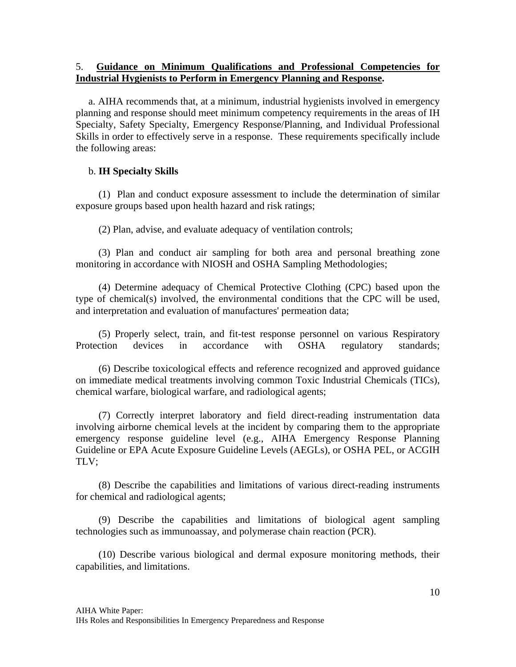## 5. **Guidance on Minimum Qualifications and Professional Competencies for Industrial Hygienists to Perform in Emergency Planning and Response.**

 a. AIHA recommends that, at a minimum, industrial hygienists involved in emergency planning and response should meet minimum competency requirements in the areas of IH Specialty, Safety Specialty, Emergency Response/Planning, and Individual Professional Skills in order to effectively serve in a response. These requirements specifically include the following areas:

## b. **IH Specialty Skills**

 (1) Plan and conduct exposure assessment to include the determination of similar exposure groups based upon health hazard and risk ratings;

(2) Plan, advise, and evaluate adequacy of ventilation controls;

 (3) Plan and conduct air sampling for both area and personal breathing zone monitoring in accordance with NIOSH and OSHA Sampling Methodologies;

 (4) Determine adequacy of Chemical Protective Clothing (CPC) based upon the type of chemical(s) involved, the environmental conditions that the CPC will be used, and interpretation and evaluation of manufactures' permeation data;

 (5) Properly select, train, and fit-test response personnel on various Respiratory Protection devices in accordance with OSHA regulatory standards;

 (6) Describe toxicological effects and reference recognized and approved guidance on immediate medical treatments involving common Toxic Industrial Chemicals (TICs), chemical warfare, biological warfare, and radiological agents;

 (7) Correctly interpret laboratory and field direct-reading instrumentation data involving airborne chemical levels at the incident by comparing them to the appropriate emergency response guideline level (e.g., AIHA Emergency Response Planning Guideline or EPA Acute Exposure Guideline Levels (AEGLs), or OSHA PEL, or ACGIH TLV;

 (8) Describe the capabilities and limitations of various direct-reading instruments for chemical and radiological agents;

 (9) Describe the capabilities and limitations of biological agent sampling technologies such as immunoassay, and polymerase chain reaction (PCR).

(10) Describe various biological and dermal exposure monitoring methods, their capabilities, and limitations.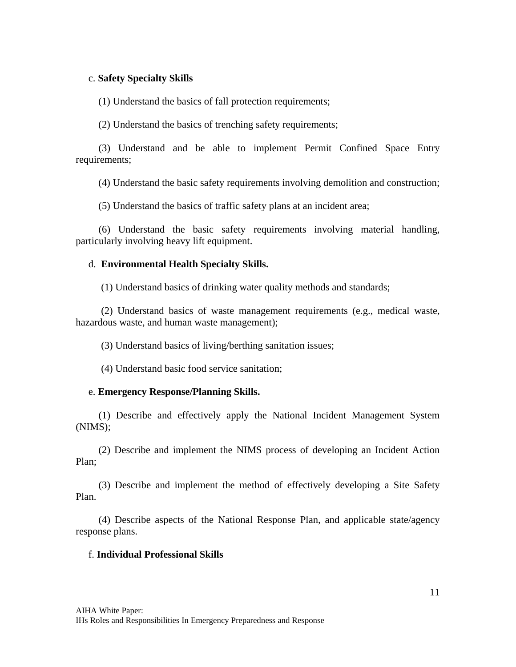### c. **Safety Specialty Skills**

(1) Understand the basics of fall protection requirements;

(2) Understand the basics of trenching safety requirements;

 (3) Understand and be able to implement Permit Confined Space Entry requirements;

(4) Understand the basic safety requirements involving demolition and construction;

(5) Understand the basics of traffic safety plans at an incident area;

 (6) Understand the basic safety requirements involving material handling, particularly involving heavy lift equipment.

### d. **Environmental Health Specialty Skills.**

(1) Understand basics of drinking water quality methods and standards;

 (2) Understand basics of waste management requirements (e.g., medical waste, hazardous waste, and human waste management);

(3) Understand basics of living/berthing sanitation issues;

(4) Understand basic food service sanitation;

#### e. **Emergency Response/Planning Skills.**

 (1) Describe and effectively apply the National Incident Management System (NIMS);

 (2) Describe and implement the NIMS process of developing an Incident Action Plan;

 (3) Describe and implement the method of effectively developing a Site Safety Plan.

 (4) Describe aspects of the National Response Plan, and applicable state/agency response plans.

#### f. **Individual Professional Skills**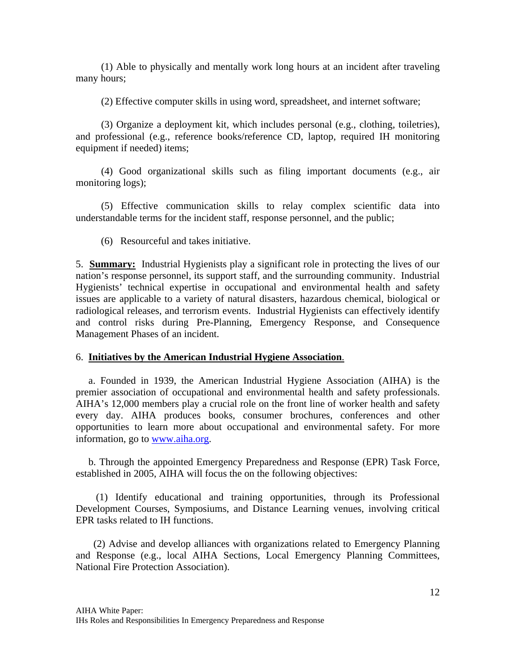(1) Able to physically and mentally work long hours at an incident after traveling many hours;

(2) Effective computer skills in using word, spreadsheet, and internet software;

 (3) Organize a deployment kit, which includes personal (e.g., clothing, toiletries), and professional (e.g., reference books/reference CD, laptop, required IH monitoring equipment if needed) items;

 (4) Good organizational skills such as filing important documents (e.g., air monitoring logs);

 (5) Effective communication skills to relay complex scientific data into understandable terms for the incident staff, response personnel, and the public;

(6) Resourceful and takes initiative.

5. **Summary:** Industrial Hygienists play a significant role in protecting the lives of our nation's response personnel, its support staff, and the surrounding community. Industrial Hygienists' technical expertise in occupational and environmental health and safety issues are applicable to a variety of natural disasters, hazardous chemical, biological or radiological releases, and terrorism events. Industrial Hygienists can effectively identify and control risks during Pre-Planning, Emergency Response, and Consequence Management Phases of an incident.

## 6. **Initiatives by the American Industrial Hygiene Association**.

 a. Founded in 1939, the American Industrial Hygiene Association (AIHA) is the premier association of occupational and environmental health and safety professionals. AIHA's 12,000 members play a crucial role on the front line of worker health and safety every day. AIHA produces books, consumer brochures, conferences and other opportunities to learn more about occupational and environmental safety. For more information, go to [www.aiha.org.](http://www.aiha.org/)

 b. Through the appointed Emergency Preparedness and Response (EPR) Task Force, established in 2005, AIHA will focus the on the following objectives:

 (1) Identify educational and training opportunities, through its Professional Development Courses, Symposiums, and Distance Learning venues, involving critical EPR tasks related to IH functions.

 (2) Advise and develop alliances with organizations related to Emergency Planning and Response (e.g., local AIHA Sections, Local Emergency Planning Committees, National Fire Protection Association).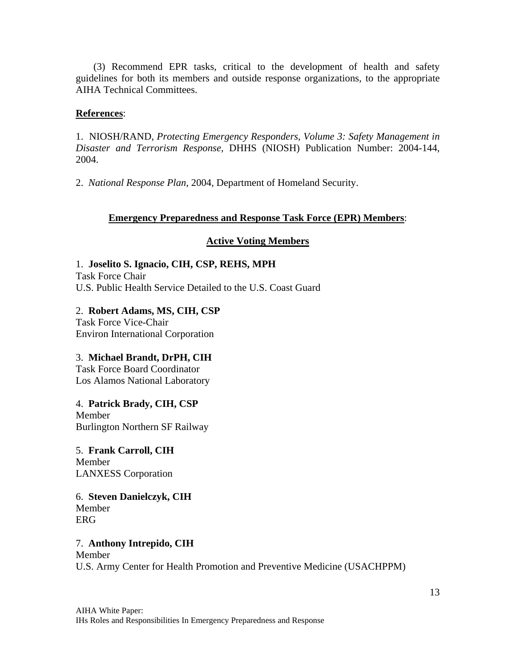(3) Recommend EPR tasks, critical to the development of health and safety guidelines for both its members and outside response organizations, to the appropriate AIHA Technical Committees.

## **References**:

1. NIOSH/RAND, *Protecting Emergency Responders, Volume 3: Safety Management in Disaster and Terrorism Response,* DHHS (NIOSH) Publication Number: 2004-144, 2004.

2. *National Response Plan*, 2004, Department of Homeland Security.

## **Emergency Preparedness and Response Task Force (EPR) Members**:

## **Active Voting Members**

1. **Joselito S. Ignacio, CIH, CSP, REHS, MPH** Task Force Chair U.S. Public Health Service Detailed to the U.S. Coast Guard

2. **Robert Adams, MS, CIH, CSP**  Task Force Vice-Chair Environ International Corporation

3. **Michael Brandt, DrPH, CIH**  Task Force Board Coordinator Los Alamos National Laboratory

4. **Patrick Brady, CIH, CSP**  Member Burlington Northern SF Railway

5. **Frank Carroll, CIH**  Member LANXESS Corporation

6. **Steven Danielczyk, CIH**  Member ERG

7. **Anthony Intrepido, CIH**  Member U.S. Army Center for Health Promotion and Preventive Medicine (USACHPPM)